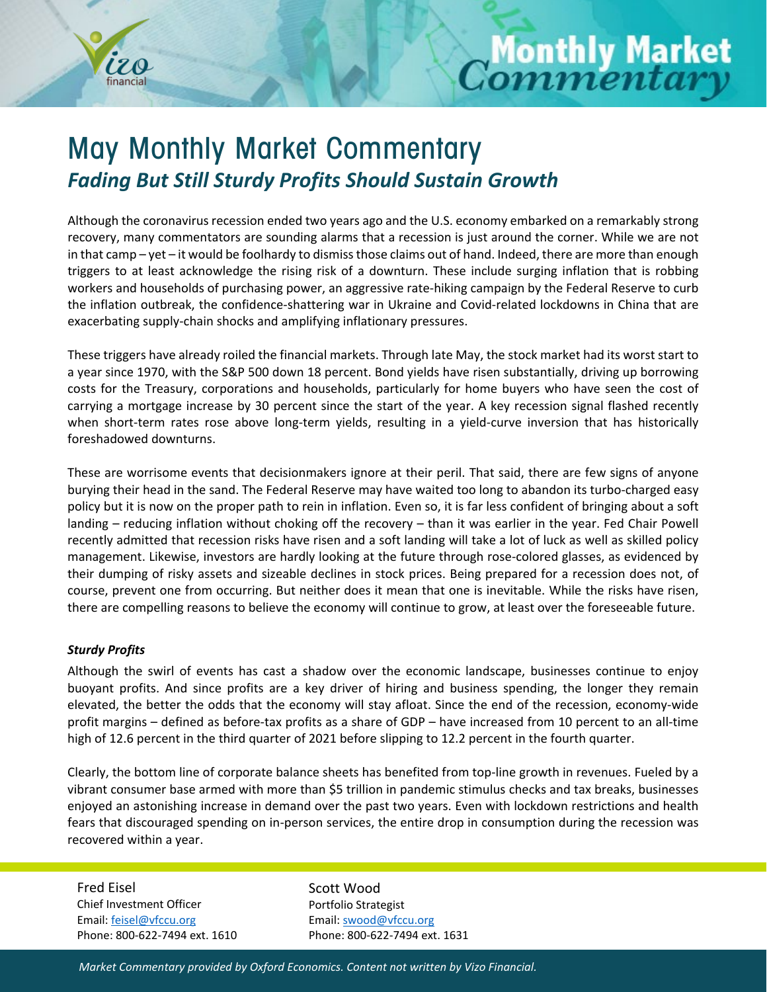

### May Monthly Market Commentary *Fading But Still Sturdy Profits Should Sustain Growth*

Although the coronavirus recession ended two years ago and the U.S. economy embarked on a remarkably strong recovery, many commentators are sounding alarms that a recession is just around the corner. While we are not in that camp – yet – it would be foolhardy to dismiss those claims out of hand. Indeed, there are more than enough triggers to at least acknowledge the rising risk of a downturn. These include surging inflation that is robbing workers and households of purchasing power, an aggressive rate-hiking campaign by the Federal Reserve to curb the inflation outbreak, the confidence-shattering war in Ukraine and Covid-related lockdowns in China that are exacerbating supply-chain shocks and amplifying inflationary pressures.

These triggers have already roiled the financial markets. Through late May, the stock market had its worst start to a year since 1970, with the S&P 500 down 18 percent. Bond yields have risen substantially, driving up borrowing costs for the Treasury, corporations and households, particularly for home buyers who have seen the cost of carrying a mortgage increase by 30 percent since the start of the year. A key recession signal flashed recently when short-term rates rose above long-term yields, resulting in a yield-curve inversion that has historically foreshadowed downturns.

These are worrisome events that decisionmakers ignore at their peril. That said, there are few signs of anyone burying their head in the sand. The Federal Reserve may have waited too long to abandon its turbo-charged easy policy but it is now on the proper path to rein in inflation. Even so, it is far less confident of bringing about a soft landing – reducing inflation without choking off the recovery – than it was earlier in the year. Fed Chair Powell recently admitted that recession risks have risen and a soft landing will take a lot of luck as well as skilled policy management. Likewise, investors are hardly looking at the future through rose-colored glasses, as evidenced by their dumping of risky assets and sizeable declines in stock prices. Being prepared for a recession does not, of course, prevent one from occurring. But neither does it mean that one is inevitable. While the risks have risen, there are compelling reasons to believe the economy will continue to grow, at least over the foreseeable future.

#### *Sturdy Profits*

Although the swirl of events has cast a shadow over the economic landscape, businesses continue to enjoy buoyant profits. And since profits are a key driver of hiring and business spending, the longer they remain elevated, the better the odds that the economy will stay afloat. Since the end of the recession, economy-wide profit margins – defined as before-tax profits as a share of GDP – have increased from 10 percent to an all-time high of 12.6 percent in the third quarter of 2021 before slipping to 12.2 percent in the fourth quarter.

Clearly, the bottom line of corporate balance sheets has benefited from top-line growth in revenues. Fueled by a vibrant consumer base armed with more than \$5 trillion in pandemic stimulus checks and tax breaks, businesses enjoyed an astonishing increase in demand over the past two years. Even with lockdown restrictions and health fears that discouraged spending on in-person services, the entire drop in consumption during the recession was recovered within a year.

Fred Eisel Chief Investment Officer Email[: feisel@vfccu.org](mailto:feisel@vfccu.org) Phone: 800-622-7494 ext. 1610 Scott Wood Portfolio Strategist Email[: swood@vfccu.org](mailto:swood@vfccu.org) Phone: 800-622-7494 ext. 1631

*Market Commentary provided by Oxford Economics. Content not written by Vizo Financial.*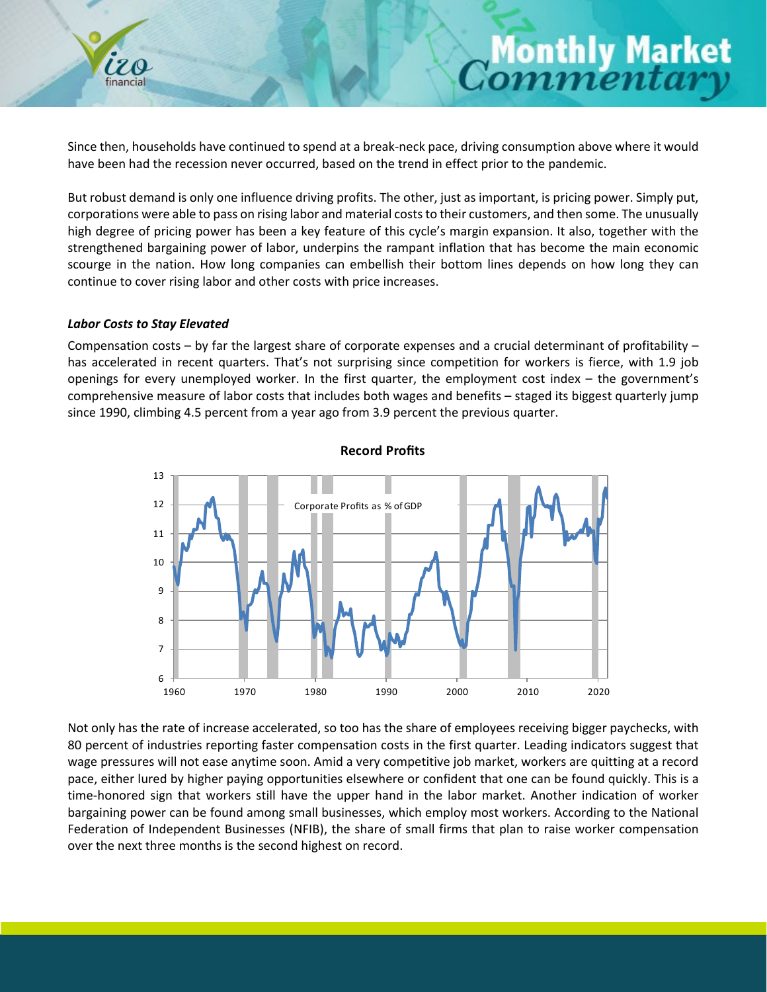

Since then, households have continued to spend at a break-neck pace, driving consumption above where it would have been had the recession never occurred, based on the trend in effect prior to the pandemic.

**Commentary** 

But robust demand is only one influence driving profits. The other, just as important, is pricing power. Simply put, corporations were able to pass on rising labor and material costs to their customers, and then some. The unusually high degree of pricing power has been a key feature of this cycle's margin expansion. It also, together with the strengthened bargaining power of labor, underpins the rampant inflation that has become the main economic scourge in the nation. How long companies can embellish their bottom lines depends on how long they can continue to cover rising labor and other costs with price increases.

#### *Labor Costs to Stay Elevated*

Compensation costs – by far the largest share of corporate expenses and a crucial determinant of profitability – has accelerated in recent quarters. That's not surprising since competition for workers is fierce, with 1.9 job openings for every unemployed worker. In the first quarter, the employment cost index – the government's comprehensive measure of labor costs that includes both wages and benefits – staged its biggest quarterly jump since 1990, climbing 4.5 percent from a year ago from 3.9 percent the previous quarter.



**Record Profits**

Not only has the rate of increase accelerated, so too has the share of employees receiving bigger paychecks, with 80 percent of industries reporting faster compensation costs in the first quarter. Leading indicators suggest that wage pressures will not ease anytime soon. Amid a very competitive job market, workers are quitting at a record pace, either lured by higher paying opportunities elsewhere or confident that one can be found quickly. This is a time-honored sign that workers still have the upper hand in the labor market. Another indication of worker bargaining power can be found among small businesses, which employ most workers. According to the National Federation of Independent Businesses (NFIB), the share of small firms that plan to raise worker compensation over the next three months is the second highest on record.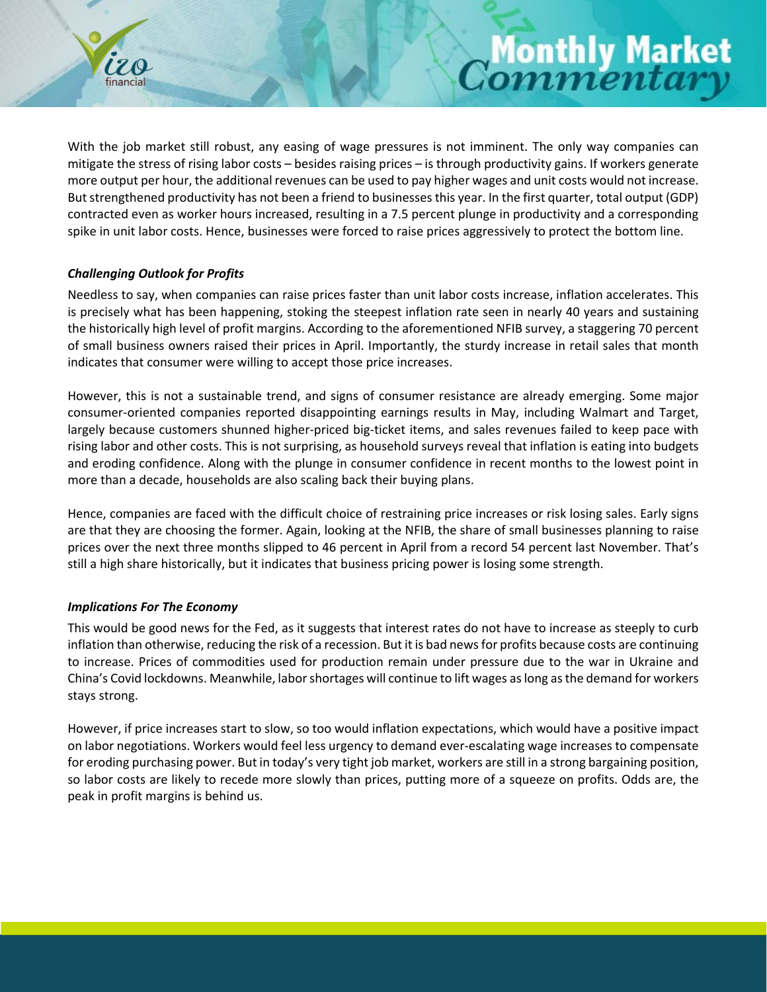

## **Monthly Market**<br>Commentary

With the job market still robust, any easing of wage pressures is not imminent. The only way companies can mitigate the stress of rising labor costs – besides raising prices – is through productivity gains. If workers generate more output per hour, the additional revenues can be used to pay higher wages and unit costs would not increase. But strengthened productivity has not been a friend to businesses this year. In the first quarter, total output (GDP) contracted even as worker hours increased, resulting in a 7.5 percent plunge in productivity and a corresponding spike in unit labor costs. Hence, businesses were forced to raise prices aggressively to protect the bottom line.

#### *Challenging Outlook for Profits*

Needless to say, when companies can raise prices faster than unit labor costs increase, inflation accelerates. This is precisely what has been happening, stoking the steepest inflation rate seen in nearly 40 years and sustaining the historically high level of profit margins. According to the aforementioned NFIB survey, a staggering 70 percent of small business owners raised their prices in April. Importantly, the sturdy increase in retail sales that month indicates that consumer were willing to accept those price increases.

However, this is not a sustainable trend, and signs of consumer resistance are already emerging. Some major consumer-oriented companies reported disappointing earnings results in May, including Walmart and Target, largely because customers shunned higher-priced big-ticket items, and sales revenues failed to keep pace with rising labor and other costs. This is not surprising, as household surveys reveal that inflation is eating into budgets and eroding confidence. Along with the plunge in consumer confidence in recent months to the lowest point in more than a decade, households are also scaling back their buying plans.

Hence, companies are faced with the difficult choice of restraining price increases or risk losing sales. Early signs are that they are choosing the former. Again, looking at the NFIB, the share of small businesses planning to raise prices over the next three months slipped to 46 percent in April from a record 54 percent last November. That's still a high share historically, but it indicates that business pricing power is losing some strength.

#### *Implications For The Economy*

This would be good news for the Fed, as it suggests that interest rates do not have to increase as steeply to curb inflation than otherwise, reducing the risk of a recession. But it is bad news for profits because costs are continuing to increase. Prices of commodities used for production remain under pressure due to the war in Ukraine and China's Covid lockdowns. Meanwhile, labor shortages will continue to lift wages as long as the demand for workers stays strong.

However, if price increases start to slow, so too would inflation expectations, which would have a positive impact on labor negotiations. Workers would feel less urgency to demand ever-escalating wage increases to compensate for eroding purchasing power. But in today's very tight job market, workers are still in a strong bargaining position, so labor costs are likely to recede more slowly than prices, putting more of a squeeze on profits. Odds are, the peak in profit margins is behind us.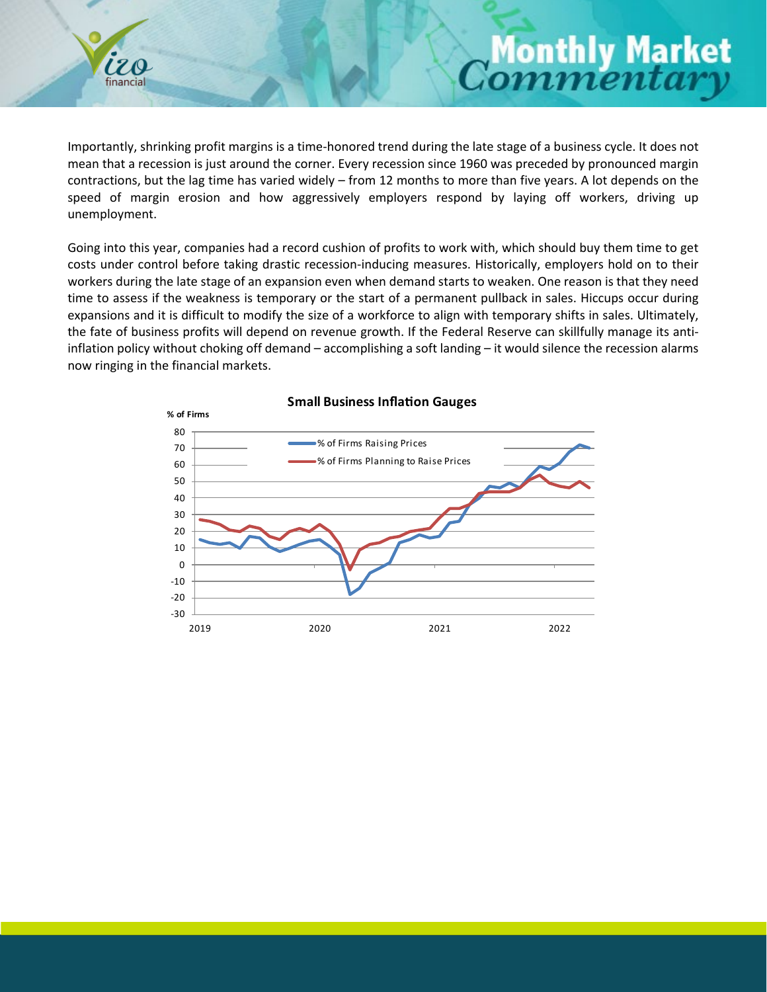20 financial

# **Monthly Market**<br>Commentary

Importantly, shrinking profit margins is a time-honored trend during the late stage of a business cycle. It does not mean that a recession is just around the corner. Every recession since 1960 was preceded by pronounced margin contractions, but the lag time has varied widely – from 12 months to more than five years. A lot depends on the speed of margin erosion and how aggressively employers respond by laying off workers, driving up unemployment.

Going into this year, companies had a record cushion of profits to work with, which should buy them time to get costs under control before taking drastic recession-inducing measures. Historically, employers hold on to their workers during the late stage of an expansion even when demand starts to weaken. One reason is that they need time to assess if the weakness is temporary or the start of a permanent pullback in sales. Hiccups occur during expansions and it is difficult to modify the size of a workforce to align with temporary shifts in sales. Ultimately, the fate of business profits will depend on revenue growth. If the Federal Reserve can skillfully manage its antiinflation policy without choking off demand – accomplishing a soft landing – it would silence the recession alarms now ringing in the financial markets.



#### **Small Business Inflation Gauges**